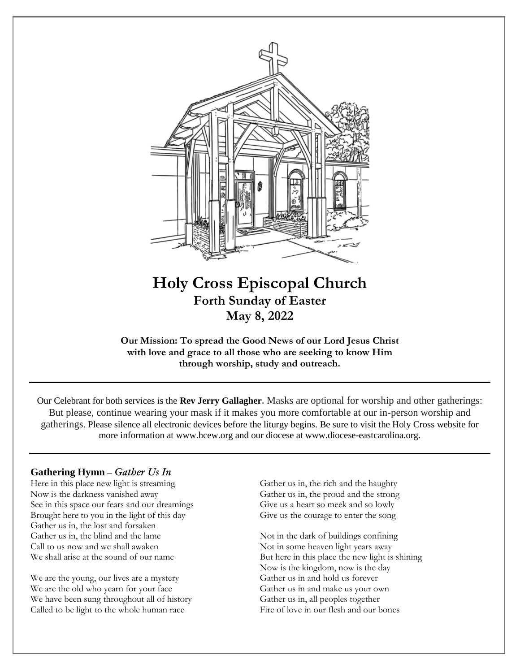

# **Holy Cross Episcopal Church Forth Sunday of Easter May 8, 2022**

**Our Mission: To spread the Good News of our Lord Jesus Christ with love and grace to all those who are seeking to know Him through worship, study and outreach.**

Our Celebrant for both services is the **Rev Jerry Gallagher.** Masks are optional for worship and other gatherings: But please, continue wearing your mask if it makes you more comfortable at our in-person worship and gatherings. Please silence all electronic devices before the liturgy begins. Be sure to visit the Holy Cross website for more information at www.hcew.org and our diocese at www.diocese-eastcarolina.org.

# **Gathering Hymn** – *Gather Us In*

Here in this place new light is streaming Now is the darkness vanished away See in this space our fears and our dreamings Brought here to you in the light of this day Gather us in, the lost and forsaken Gather us in, the blind and the lame Call to us now and we shall awaken We shall arise at the sound of our name

We are the young, our lives are a mystery We are the old who yearn for your face We have been sung throughout all of history Called to be light to the whole human race

Gather us in, the rich and the haughty Gather us in, the proud and the strong Give us a heart so meek and so lowly Give us the courage to enter the song

Not in the dark of buildings confining Not in some heaven light years away But here in this place the new light is shining Now is the kingdom, now is the day Gather us in and hold us forever Gather us in and make us your own Gather us in, all peoples together Fire of love in our flesh and our bones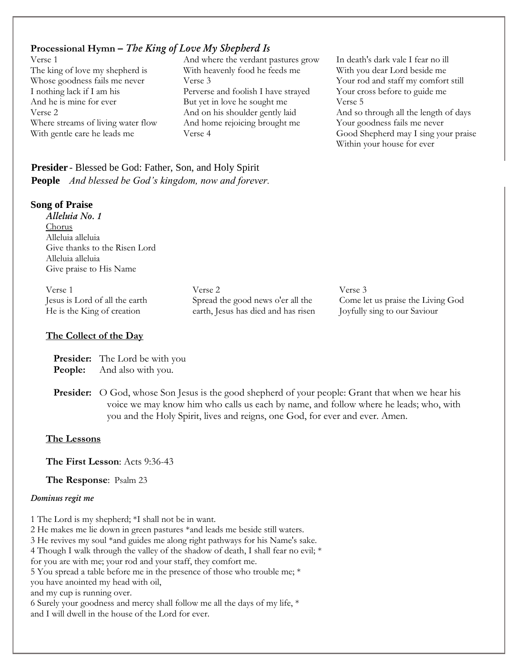# **Processional Hymn –** *The King of Love My Shepherd Is*

Verse 1 The king of love my shepherd is Whose goodness fails me never I nothing lack if I am his And he is mine for ever Verse 2 Where streams of living water flow With gentle care he leads me

And where the verdant pastures grow With heavenly food he feeds me Verse 3 Perverse and foolish I have strayed But yet in love he sought me And on his shoulder gently laid And home rejoicing brought me Verse 4

In death's dark vale I fear no ill With you dear Lord beside me Your rod and staff my comfort still Your cross before to guide me Verse 5 And so through all the length of days Your goodness fails me never Good Shepherd may I sing your praise Within your house for ever

**Presider** - Blessed be God: Father, Son, and Holy Spirit **People** *And blessed be God's kingdom, now and forever.* 

### **Song of Praise**

*Alleluia No. 1* Chorus Alleluia alleluia Give thanks to the Risen Lord Alleluia alleluia Give praise to His Name

Verse 1 Jesus is Lord of all the earth He is the King of creation

### **The Collect of the Day**

**Presider:** The Lord be with you **People:** And also with you.

Verse 2 Spread the good news o'er all the earth, Jesus has died and has risen

Verse 3 Come let us praise the Living God Joyfully sing to our Saviour

**Presider:** O God, whose Son Jesus is the good shepherd of your people: Grant that when we hear his voice we may know him who calls us each by name, and follow where he leads; who, with you and the Holy Spirit, lives and reigns, one God, for ever and ever. Amen.

### **The Lessons**

**The First Lesson**: Acts 9:36-43

 **The Response**: Psalm 23

#### *Dominus regit me*

1 The Lord is my shepherd; \*I shall not be in want.

2 He makes me lie down in green pastures \*and leads me beside still waters.

3 He revives my soul \*and guides me along right pathways for his Name's sake. 4 Though I walk through the valley of the shadow of death, I shall fear no evil; \*

for you are with me; your rod and your staff, they comfort me.

5 You spread a table before me in the presence of those who trouble me; \*

you have anointed my head with oil,

and my cup is running over.

6 Surely your goodness and mercy shall follow me all the days of my life, \* and I will dwell in the house of the Lord for ever.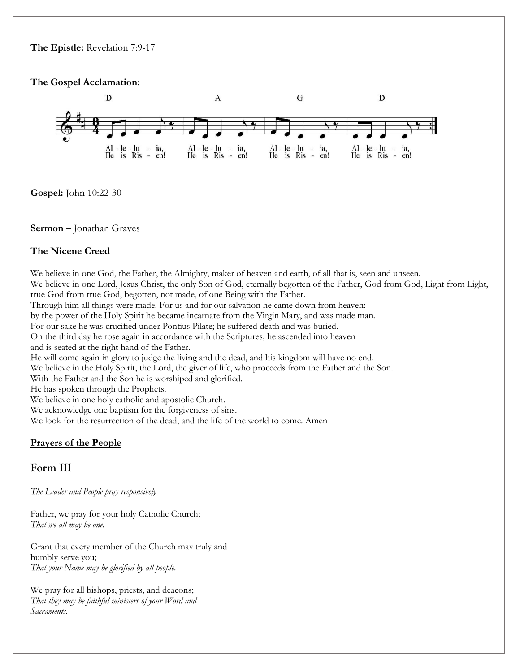**The Epistle:** Revelation 7:9-17

**The Gospel Acclamation:**



**Gospel:** John 10:22-30

**Sermon –** Jonathan Graves

# **The Nicene Creed**

We believe in one God, the Father, the Almighty, maker of heaven and earth, of all that is, seen and unseen. We believe in one Lord, Jesus Christ, the only Son of God, eternally begotten of the Father, God from God, Light from Light, true God from true God, begotten, not made, of one Being with the Father. Through him all things were made. For us and for our salvation he came down from heaven: by the power of the Holy Spirit he became incarnate from the Virgin Mary, and was made man. For our sake he was crucified under Pontius Pilate; he suffered death and was buried. On the third day he rose again in accordance with the Scriptures; he ascended into heaven and is seated at the right hand of the Father.

He will come again in glory to judge the living and the dead, and his kingdom will have no end.

We believe in the Holy Spirit, the Lord, the giver of life, who proceeds from the Father and the Son.

With the Father and the Son he is worshiped and glorified.

He has spoken through the Prophets.

We believe in one holy catholic and apostolic Church.

We acknowledge one baptism for the forgiveness of sins.

We look for the resurrection of the dead, and the life of the world to come. Amen

# **Prayers of the People**

# **Form III**

*The Leader and People pray responsively*

Father, we pray for your holy Catholic Church; *That we all may be one.*

Grant that every member of the Church may truly and humbly serve you; *That your Name may be glorified by all people.*

We pray for all bishops, priests, and deacons; *That they may be faithful ministers of your Word and Sacraments.*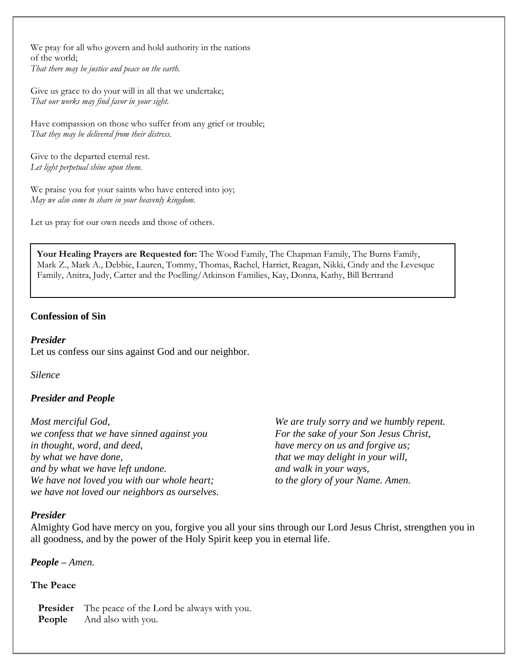We pray for all who govern and hold authority in the nations of the world; *That there may be justice and peace on the earth.*

Give us grace to do your will in all that we undertake; *That our works may find favor in your sight.*

Have compassion on those who suffer from any grief or trouble; *That they may be delivered from their distress.*

Give to the departed eternal rest. *Let light perpetual shine upon them.*

We praise you for your saints who have entered into joy; *May we also come to share in your heavenly kingdom.*

Let us pray for our own needs and those of others.

**Your Healing Prayers are Requested for:** The Wood Family, The Chapman Family, The Burns Family, Mark Z., Mark A., Debbie, Lauren, Tommy, Thomas, Rachel, Harriet, Reagan, Nikki, Cindy and the Levesque Family, Anitra, Judy, Carter and the Poelling/Atkinson Families, Kay, Donna, Kathy, Bill Bertrand

# **Confession of Sin**

### *Presider*

Let us confess our sins against God and our neighbor.

*Silence*

# *Presider and People*

*Most merciful God, we confess that we have sinned against you in thought, word, and deed, by what we have done, and by what we have left undone. We have not loved you with our whole heart; we have not loved our neighbors as ourselves.*

*We are truly sorry and we humbly repent. For the sake of your Son Jesus Christ, have mercy on us and forgive us; that we may delight in your will, and walk in your ways, to the glory of your Name. Amen.*

# *Presider*

Almighty God have mercy on you, forgive you all your sins through our Lord Jesus Christ, strengthen you in all goodness, and by the power of the Holy Spirit keep you in eternal life.

### *People – Amen.*

### **The Peace**

**Presider** The peace of the Lord be always with you. **People** And also with you.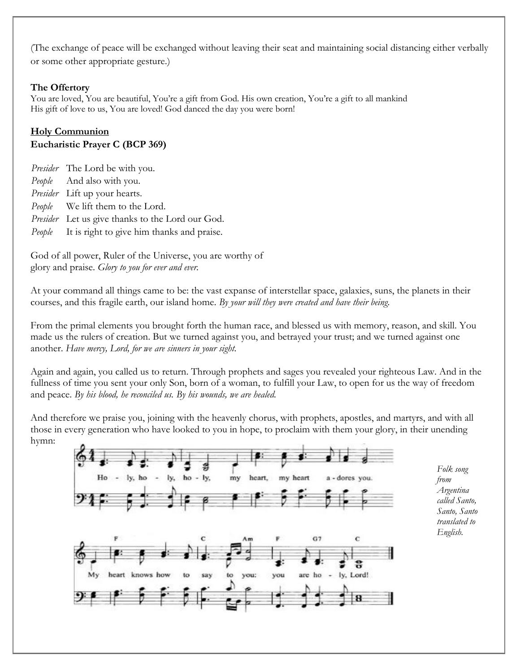(The exchange of peace will be exchanged without leaving their seat and maintaining social distancing either verbally or some other appropriate gesture.)

# **The Offertory**

You are loved, You are beautiful, You're a gift from God. His own creation, You're a gift to all mankind His gift of love to us, You are loved! God danced the day you were born!

# **Holy Communion Eucharistic Prayer C (BCP 369)**

*Presider* The Lord be with you. *People* And also with you. *Presider* Lift up your hearts. *People* We lift them to the Lord. *Presider* Let us give thanks to the Lord our God. *People* It is right to give him thanks and praise.

God of all power, Ruler of the Universe, you are worthy of glory and praise. *Glory to you for ever and ever.*

At your command all things came to be: the vast expanse of interstellar space, galaxies, suns, the planets in their courses, and this fragile earth, our island home. *By your will they were created and have their being.*

From the primal elements you brought forth the human race, and blessed us with memory, reason, and skill. You made us the rulers of creation. But we turned against you, and betrayed your trust; and we turned against one another. *Have mercy, Lord, for we are sinners in your sight.*

Again and again, you called us to return. Through prophets and sages you revealed your righteous Law. And in the fullness of time you sent your only Son, born of a woman, to fulfill your Law, to open for us the way of freedom and peace. *By his blood, he reconciled us. By his wounds, we are healed.*

And therefore we praise you, joining with the heavenly chorus, with prophets, apostles, and martyrs, and with all those in every generation who have looked to you in hope, to proclaim with them your glory, in their unending hymn:

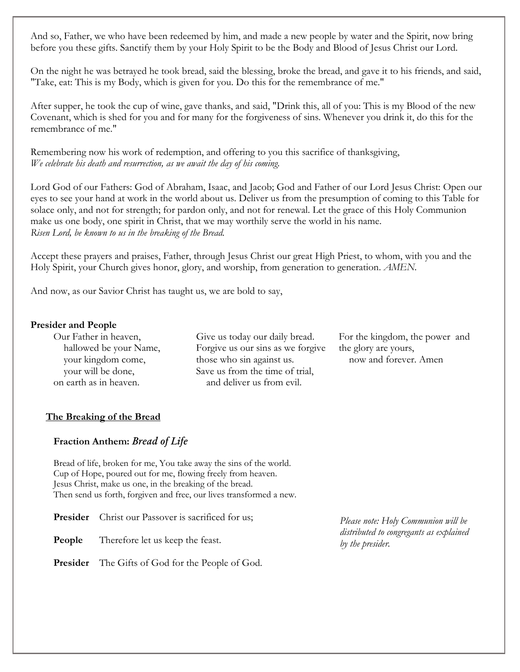And so, Father, we who have been redeemed by him, and made a new people by water and the Spirit, now bring before you these gifts. Sanctify them by your Holy Spirit to be the Body and Blood of Jesus Christ our Lord.

On the night he was betrayed he took bread, said the blessing, broke the bread, and gave it to his friends, and said, "Take, eat: This is my Body, which is given for you. Do this for the remembrance of me."

After supper, he took the cup of wine, gave thanks, and said, "Drink this, all of you: This is my Blood of the new Covenant, which is shed for you and for many for the forgiveness of sins. Whenever you drink it, do this for the remembrance of me."

Remembering now his work of redemption, and offering to you this sacrifice of thanksgiving, *We celebrate his death and resurrection, as we await the day of his coming.*

Lord God of our Fathers: God of Abraham, Isaac, and Jacob; God and Father of our Lord Jesus Christ: Open our eyes to see your hand at work in the world about us. Deliver us from the presumption of coming to this Table for solace only, and not for strength; for pardon only, and not for renewal. Let the grace of this Holy Communion make us one body, one spirit in Christ, that we may worthily serve the world in his name. *Risen Lord, be known to us in the breaking of the Bread.*

Accept these prayers and praises, Father, through Jesus Christ our great High Priest, to whom, with you and the Holy Spirit, your Church gives honor, glory, and worship, from generation to generation. *AMEN.*

And now, as our Savior Christ has taught us, we are bold to say,

### **Presider and People**

Our Father in heaven, hallowed be your Name, your kingdom come, your will be done, on earth as in heaven.

Give us today our daily bread. Forgive us our sins as we forgive those who sin against us. Save us from the time of trial, and deliver us from evil.

For the kingdom, the power and the glory are yours, now and forever. Amen

# **The Breaking of the Bread**

# **Fraction Anthem:** *Bread of Life*

Bread of life, broken for me, You take away the sins of the world. Cup of Hope, poured out for me, flowing freely from heaven. Jesus Christ, make us one, in the breaking of the bread. Then send us forth, forgiven and free, our lives transformed a new.

Presider Christ our Passover is sacrificed for us;

**People** Therefore let us keep the feast.

**Presider** The Gifts of God for the People of God.

*Please note: Holy Communion will be distributed to congregants as explained by the presider.*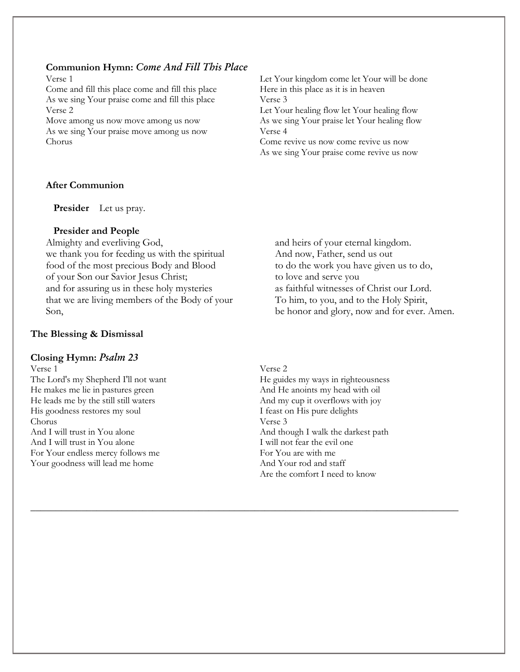### **Communion Hymn:** *Come And Fill This Place*

Verse 1

Come and fill this place come and fill this place As we sing Your praise come and fill this place Verse 2

Move among us now move among us now As we sing Your praise move among us now Chorus

Let Your kingdom come let Your will be done Here in this place as it is in heaven Verse 3 Let Your healing flow let Your healing flow As we sing Your praise let Your healing flow Verse 4 Come revive us now come revive us now As we sing Your praise come revive us now

### **After Communion**

**Presider** Let us pray.

### **Presider and People**

Almighty and everliving God, we thank you for feeding us with the spiritual food of the most precious Body and Blood of your Son our Savior Jesus Christ; and for assuring us in these holy mysteries that we are living members of the Body of your Son,

### **The Blessing & Dismissal**

#### **Closing Hymn:** *Psalm 23*

Verse 1

The Lord's my Shepherd I'll not want He makes me lie in pastures green He leads me by the still still waters His goodness restores my soul Chorus And I will trust in You alone And I will trust in You alone For Your endless mercy follows me Your goodness will lead me home

and heirs of your eternal kingdom. And now, Father, send us out to do the work you have given us to do, to love and serve you as faithful witnesses of Christ our Lord. To him, to you, and to the Holy Spirit, be honor and glory, now and for ever. Amen.

### Verse 2

**\_\_\_\_\_\_\_\_\_\_\_\_\_\_\_\_\_\_\_\_\_\_\_\_\_\_\_\_\_\_\_\_\_\_\_\_\_\_\_\_\_\_\_\_\_\_\_\_\_\_\_\_\_\_\_\_\_\_\_\_\_\_\_\_\_\_\_\_\_\_\_\_\_\_\_\_\_\_\_\_\_\_\_\_**

He guides my ways in righteousness And He anoints my head with oil And my cup it overflows with joy I feast on His pure delights Verse 3 And though I walk the darkest path I will not fear the evil one For You are with me And Your rod and staff Are the comfort I need to know